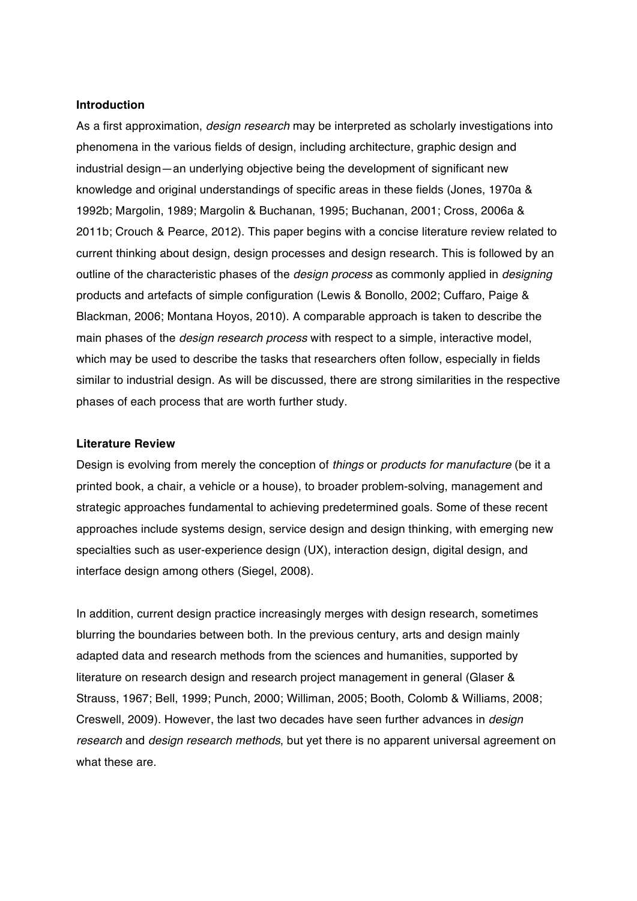### **Introduction**

As a first approximation, *design research* may be interpreted as scholarly investigations into phenomena in the various fields of design, including architecture, graphic design and industrial design―an underlying objective being the development of significant new knowledge and original understandings of specific areas in these fields (Jones, 1970a & 1992b; Margolin, 1989; Margolin & Buchanan, 1995; Buchanan, 2001; Cross, 2006a & 2011b; Crouch & Pearce, 2012). This paper begins with a concise literature review related to current thinking about design, design processes and design research. This is followed by an outline of the characteristic phases of the *design process* as commonly applied in *designing*  products and artefacts of simple configuration (Lewis & Bonollo, 2002; Cuffaro, Paige & Blackman, 2006; Montana Hoyos, 2010). A comparable approach is taken to describe the main phases of the *design research process* with respect to a simple, interactive model, which may be used to describe the tasks that researchers often follow, especially in fields similar to industrial design. As will be discussed, there are strong similarities in the respective phases of each process that are worth further study.

### **Literature Review**

Design is evolving from merely the conception of *things* or *products for manufacture* (be it a printed book, a chair, a vehicle or a house), to broader problem-solving, management and strategic approaches fundamental to achieving predetermined goals. Some of these recent approaches include systems design, service design and design thinking, with emerging new specialties such as user-experience design (UX), interaction design, digital design, and interface design among others (Siegel, 2008).

In addition, current design practice increasingly merges with design research, sometimes blurring the boundaries between both. In the previous century, arts and design mainly adapted data and research methods from the sciences and humanities, supported by literature on research design and research project management in general (Glaser & Strauss, 1967; Bell, 1999; Punch, 2000; Williman, 2005; Booth, Colomb & Williams, 2008; Creswell, 2009). However, the last two decades have seen further advances in *design research* and *design research methods*, but yet there is no apparent universal agreement on what these are.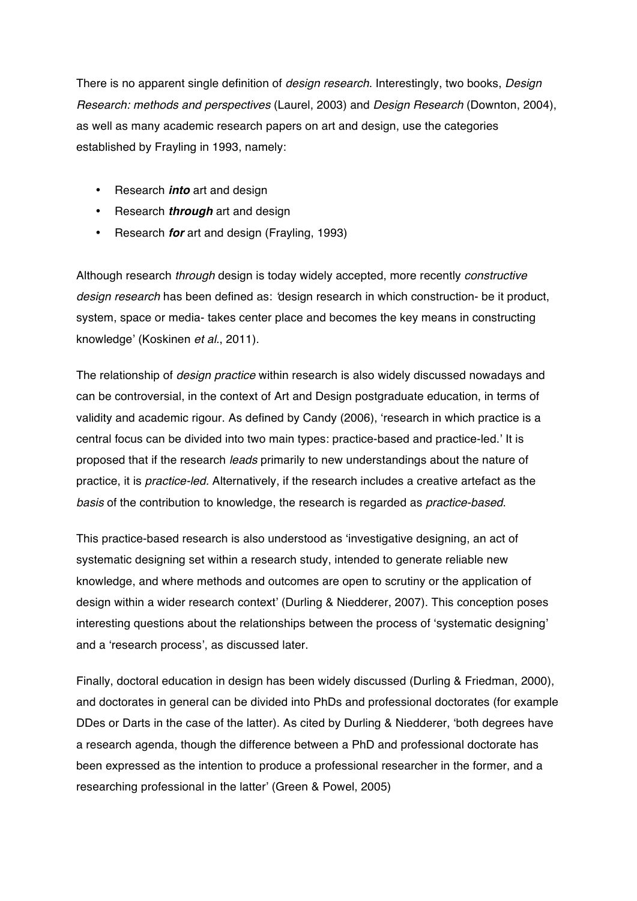There is no apparent single definition of *design research*. Interestingly, two books, *Design Research: methods and perspectives* (Laurel, 2003) and *Design Research* (Downton, 2004), as well as many academic research papers on art and design, use the categories established by Frayling in 1993, namely:

- Research *into* art and design
- Research *through* art and design
- Research *for* art and design (Frayling, 1993)

Although research *through* design is today widely accepted, more recently *constructive design research* has been defined as: *'*design research in which construction- be it product, system, space or media- takes center place and becomes the key means in constructing knowledge' (Koskinen *et al.*, 2011).

The relationship of *design practice* within research is also widely discussed nowadays and can be controversial, in the context of Art and Design postgraduate education, in terms of validity and academic rigour. As defined by Candy (2006), 'research in which practice is a central focus can be divided into two main types: practice-based and practice-led.' It is proposed that if the research *leads* primarily to new understandings about the nature of practice, it is *practice-led.* Alternatively, if the research includes a creative artefact as the *basis* of the contribution to knowledge, the research is regarded as *practice-based*.

This practice-based research is also understood as 'investigative designing, an act of systematic designing set within a research study, intended to generate reliable new knowledge, and where methods and outcomes are open to scrutiny or the application of design within a wider research context' (Durling & Niedderer, 2007). This conception poses interesting questions about the relationships between the process of 'systematic designing' and a 'research process', as discussed later.

Finally, doctoral education in design has been widely discussed (Durling & Friedman, 2000), and doctorates in general can be divided into PhDs and professional doctorates (for example DDes or Darts in the case of the latter). As cited by Durling & Niedderer, 'both degrees have a research agenda, though the difference between a PhD and professional doctorate has been expressed as the intention to produce a professional researcher in the former, and a researching professional in the latter' (Green & Powel, 2005)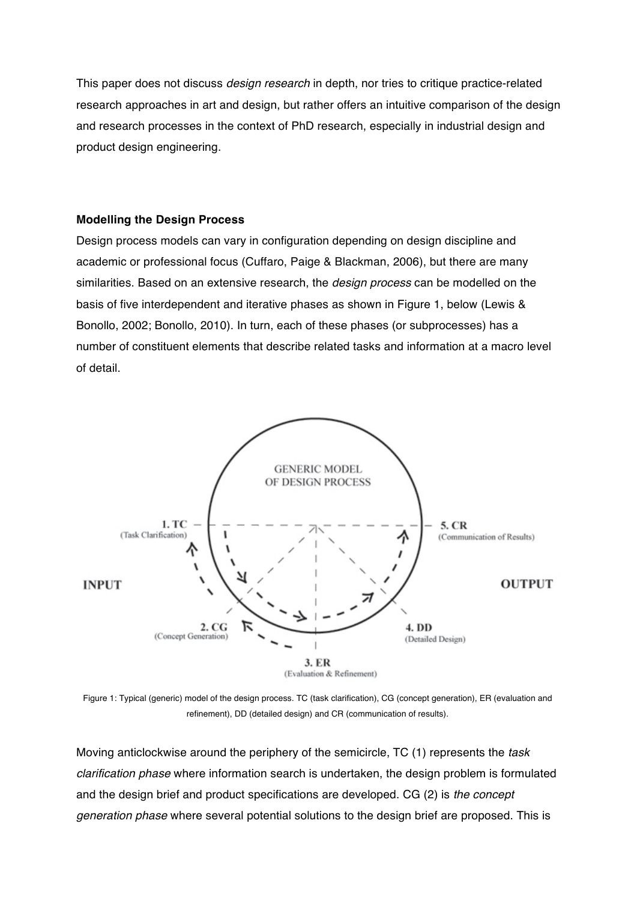This paper does not discuss *design research* in depth, nor tries to critique practice-related research approaches in art and design, but rather offers an intuitive comparison of the design and research processes in the context of PhD research, especially in industrial design and product design engineering.

# **Modelling the Design Process**

Design process models can vary in configuration depending on design discipline and academic or professional focus (Cuffaro, Paige & Blackman, 2006), but there are many similarities. Based on an extensive research, the *design process* can be modelled on the basis of five interdependent and iterative phases as shown in Figure 1, below (Lewis & Bonollo, 2002; Bonollo, 2010). In turn, each of these phases (or subprocesses) has a number of constituent elements that describe related tasks and information at a macro level of detail.



Figure 1: Typical (generic) model of the design process. TC (task clarification), CG (concept generation), ER (evaluation and refinement), DD (detailed design) and CR (communication of results).

Moving anticlockwise around the periphery of the semicircle, TC (1) represents the *task clarification phase* where information search is undertaken, the design problem is formulated and the design brief and product specifications are developed. CG (2) is *the concept generation phase* where several potential solutions to the design brief are proposed. This is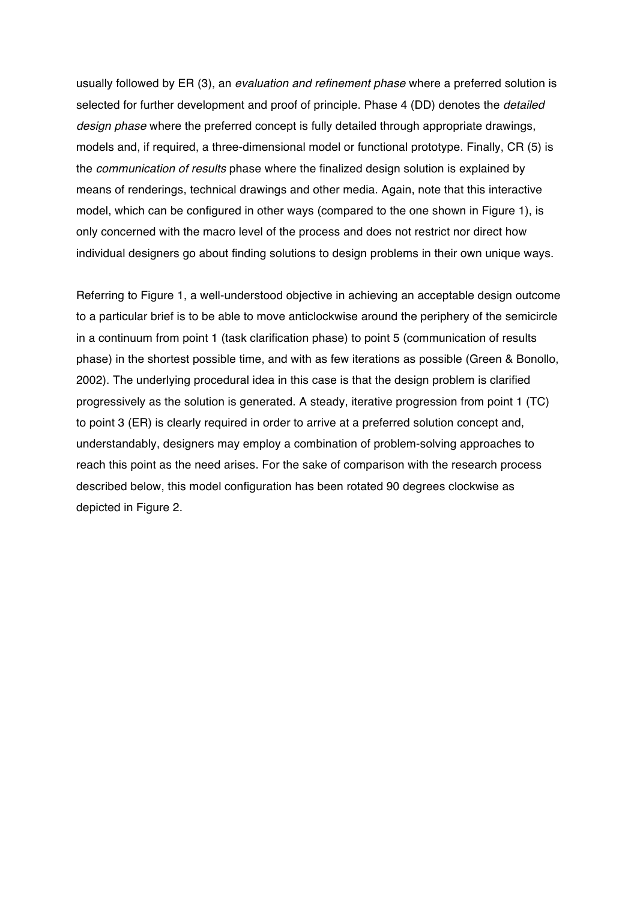usually followed by ER (3), an *evaluation and refinement phase* where a preferred solution is selected for further development and proof of principle. Phase 4 (DD) denotes the *detailed design phase* where the preferred concept is fully detailed through appropriate drawings, models and, if required, a three-dimensional model or functional prototype. Finally, CR (5) is the *communication of results* phase where the finalized design solution is explained by means of renderings, technical drawings and other media. Again, note that this interactive model, which can be configured in other ways (compared to the one shown in Figure 1), is only concerned with the macro level of the process and does not restrict nor direct how individual designers go about finding solutions to design problems in their own unique ways.

Referring to Figure 1, a well-understood objective in achieving an acceptable design outcome to a particular brief is to be able to move anticlockwise around the periphery of the semicircle in a continuum from point 1 (task clarification phase) to point 5 (communication of results phase) in the shortest possible time, and with as few iterations as possible (Green & Bonollo, 2002). The underlying procedural idea in this case is that the design problem is clarified progressively as the solution is generated. A steady, iterative progression from point 1 (TC) to point 3 (ER) is clearly required in order to arrive at a preferred solution concept and, understandably, designers may employ a combination of problem-solving approaches to reach this point as the need arises. For the sake of comparison with the research process described below, this model configuration has been rotated 90 degrees clockwise as depicted in Figure 2.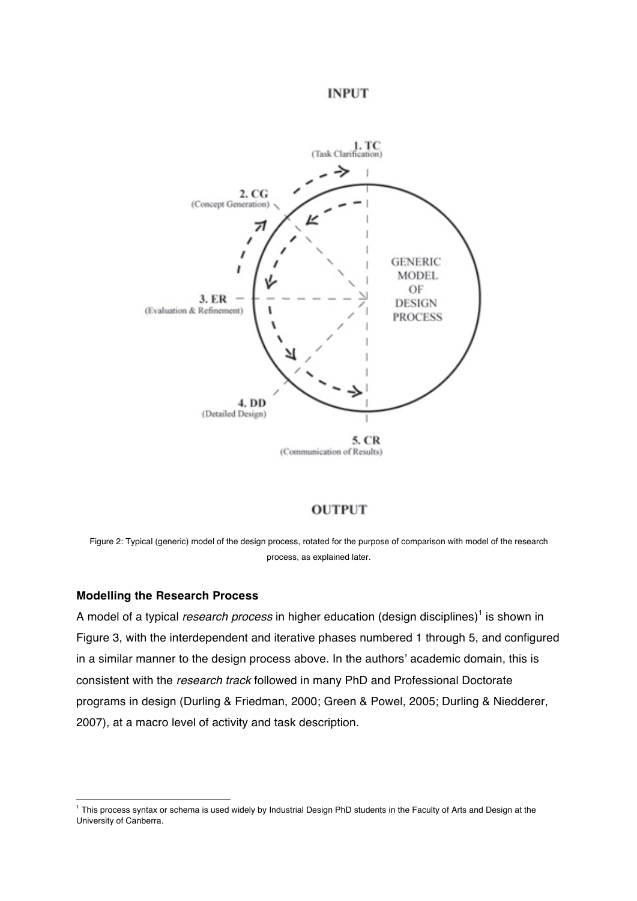# **INPUT**



## **OUTPUT**

Figure 2: Typical (generic) model of the design process, rotated for the purpose of comparison with model of the research process, as explained later.

### **Modelling the Research Process**

 $\overline{a}$ 

A model of a typical *research process* in higher education (design disciplines) <sup>1</sup> is shown in Figure 3, with the interdependent and iterative phases numbered 1 through 5, and configured in a similar manner to the design process above. In the authors' academic domain, this is consistent with the *research track* followed in many PhD and Professional Doctorate programs in design (Durling & Friedman, 2000; Green & Powel, 2005; Durling & Niedderer, 2007), at a macro level of activity and task description.

 $1$  This process syntax or schema is used widely by Industrial Design PhD students in the Faculty of Arts and Design at the University of Canberra.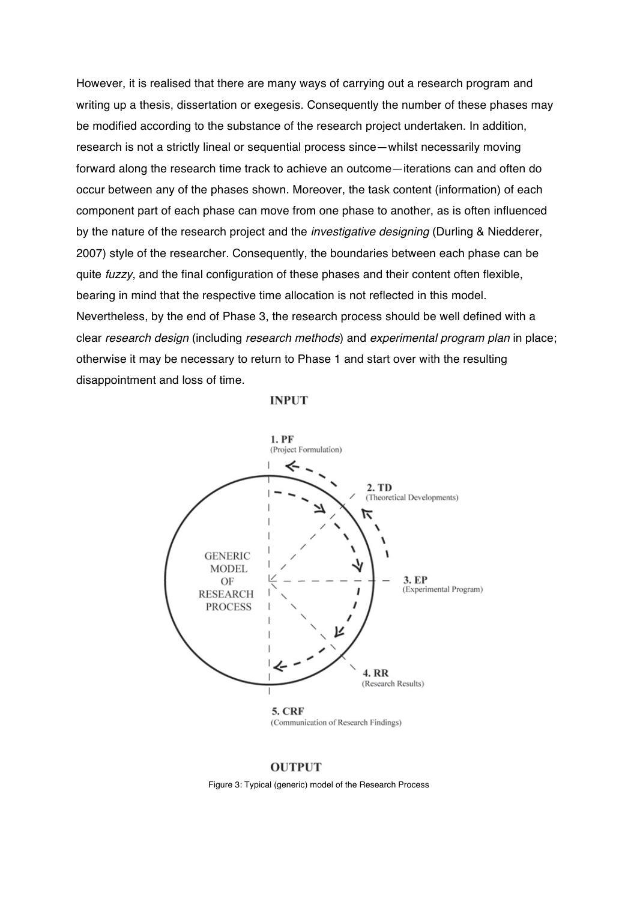However, it is realised that there are many ways of carrying out a research program and writing up a thesis, dissertation or exegesis. Consequently the number of these phases may be modified according to the substance of the research project undertaken. In addition, research is not a strictly lineal or sequential process since—whilst necessarily moving forward along the research time track to achieve an outcome—iterations can and often do occur between any of the phases shown. Moreover, the task content (information) of each component part of each phase can move from one phase to another, as is often influenced by the nature of the research project and the *investigative designing* (Durling & Niedderer, 2007) style of the researcher. Consequently, the boundaries between each phase can be quite *fuzzy*, and the final configuration of these phases and their content often flexible, bearing in mind that the respective time allocation is not reflected in this model. Nevertheless, by the end of Phase 3, the research process should be well defined with a clear *research design* (including *research methods*) and *experimental program plan* in place; otherwise it may be necessary to return to Phase 1 and start over with the resulting disappointment and loss of time.

#### **INPUT**



### **OUTPUT**

Figure 3: Typical (generic) model of the Research Process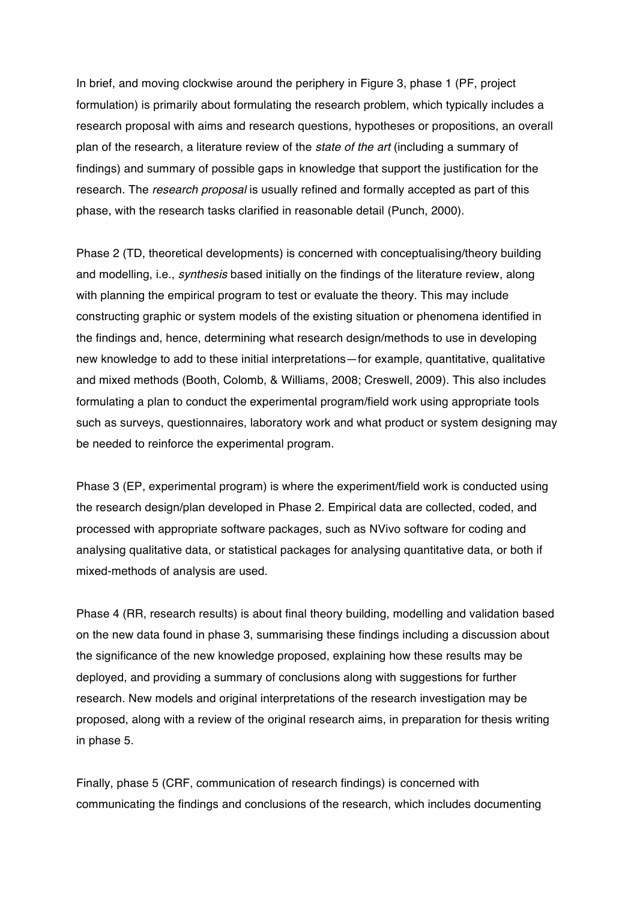In brief, and moving clockwise around the periphery in Figure 3, phase 1 (PF, project formulation) is primarily about formulating the research problem, which typically includes a research proposal with aims and research questions, hypotheses or propositions, an overall plan of the research, a literature review of the *state of the art* (including a summary of findings) and summary of possible gaps in knowledge that support the justification for the research. The *research proposal* is usually refined and formally accepted as part of this phase, with the research tasks clarified in reasonable detail (Punch, 2000).

Phase 2 (TD, theoretical developments) is concerned with conceptualising/theory building and modelling, i.e., *synthesis* based initially on the findings of the literature review, along with planning the empirical program to test or evaluate the theory. This may include constructing graphic or system models of the existing situation or phenomena identified in the findings and, hence, determining what research design/methods to use in developing new knowledge to add to these initial interpretations—for example, quantitative, qualitative and mixed methods (Booth, Colomb, & Williams, 2008; Creswell, 2009). This also includes formulating a plan to conduct the experimental program/field work using appropriate tools such as surveys, questionnaires, laboratory work and what product or system designing may be needed to reinforce the experimental program.

Phase 3 (EP, experimental program) is where the experiment/field work is conducted using the research design/plan developed in Phase 2. Empirical data are collected, coded, and processed with appropriate software packages, such as NVivo software for coding and analysing qualitative data, or statistical packages for analysing quantitative data, or both if mixed-methods of analysis are used.

Phase 4 (RR, research results) is about final theory building, modelling and validation based on the new data found in phase 3, summarising these findings including a discussion about the significance of the new knowledge proposed, explaining how these results may be deployed, and providing a summary of conclusions along with suggestions for further research. New models and original interpretations of the research investigation may be proposed, along with a review of the original research aims, in preparation for thesis writing in phase 5.

Finally, phase 5 (CRF, communication of research findings) is concerned with communicating the findings and conclusions of the research, which includes documenting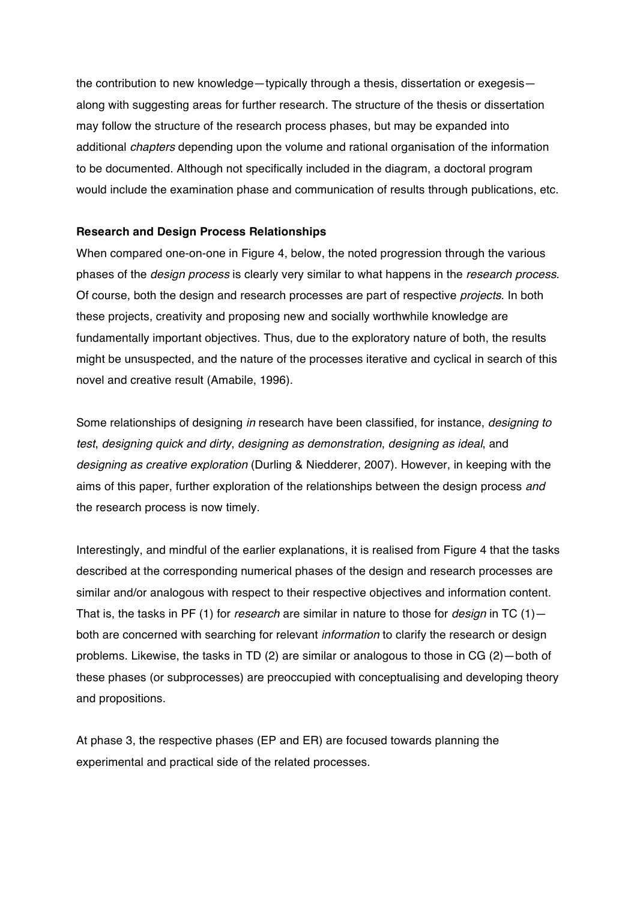the contribution to new knowledge—typically through a thesis, dissertation or exegesis along with suggesting areas for further research. The structure of the thesis or dissertation may follow the structure of the research process phases, but may be expanded into additional *chapters* depending upon the volume and rational organisation of the information to be documented. Although not specifically included in the diagram, a doctoral program would include the examination phase and communication of results through publications, etc.

## **Research and Design Process Relationships**

When compared one-on-one in Figure 4, below, the noted progression through the various phases of the *design process* is clearly very similar to what happens in the *research process*. Of course, both the design and research processes are part of respective *projects*. In both these projects, creativity and proposing new and socially worthwhile knowledge are fundamentally important objectives. Thus, due to the exploratory nature of both, the results might be unsuspected, and the nature of the processes iterative and cyclical in search of this novel and creative result (Amabile, 1996).

Some relationships of designing *in* research have been classified, for instance, *designing to test*, *designing quick and dirty*, *designing as demonstration*, *designing as ideal*, and *designing as creative exploration* (Durling & Niedderer, 2007). However, in keeping with the aims of this paper, further exploration of the relationships between the design process *and* the research process is now timely.

Interestingly, and mindful of the earlier explanations, it is realised from Figure 4 that the tasks described at the corresponding numerical phases of the design and research processes are similar and/or analogous with respect to their respective objectives and information content. That is, the tasks in PF (1) for *research* are similar in nature to those for *design* in TC (1) both are concerned with searching for relevant *information* to clarify the research or design problems. Likewise, the tasks in TD (2) are similar or analogous to those in CG (2)—both of these phases (or subprocesses) are preoccupied with conceptualising and developing theory and propositions.

At phase 3, the respective phases (EP and ER) are focused towards planning the experimental and practical side of the related processes.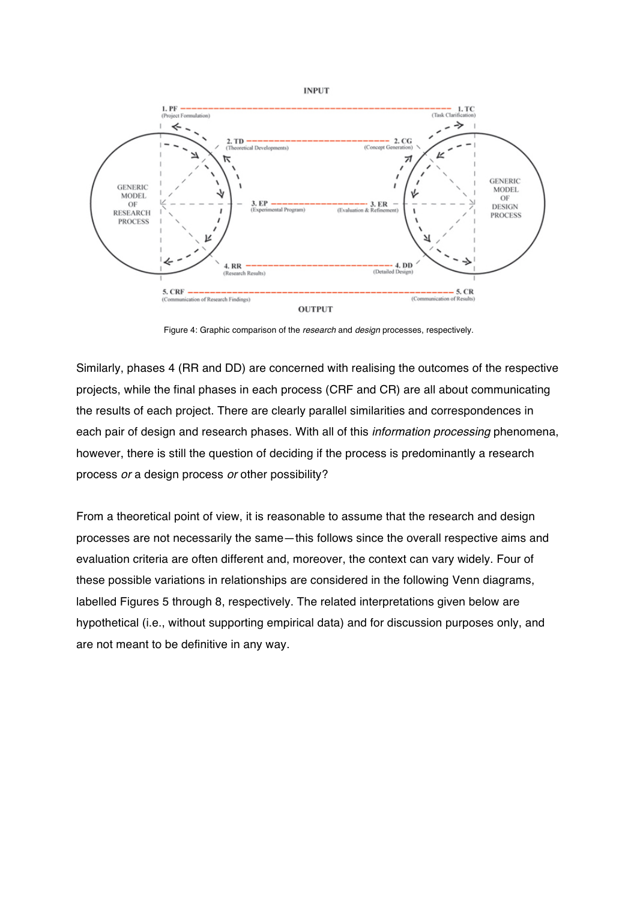

Figure 4: Graphic comparison of the *research* and *design* processes, respectively.

Similarly, phases 4 (RR and DD) are concerned with realising the outcomes of the respective projects, while the final phases in each process (CRF and CR) are all about communicating the results of each project. There are clearly parallel similarities and correspondences in each pair of design and research phases. With all of this *information processing* phenomena, however, there is still the question of deciding if the process is predominantly a research process *or* a design process *or* other possibility?

From a theoretical point of view, it is reasonable to assume that the research and design processes are not necessarily the same―this follows since the overall respective aims and evaluation criteria are often different and, moreover, the context can vary widely. Four of these possible variations in relationships are considered in the following Venn diagrams, labelled Figures 5 through 8, respectively. The related interpretations given below are hypothetical (i.e., without supporting empirical data) and for discussion purposes only, and are not meant to be definitive in any way.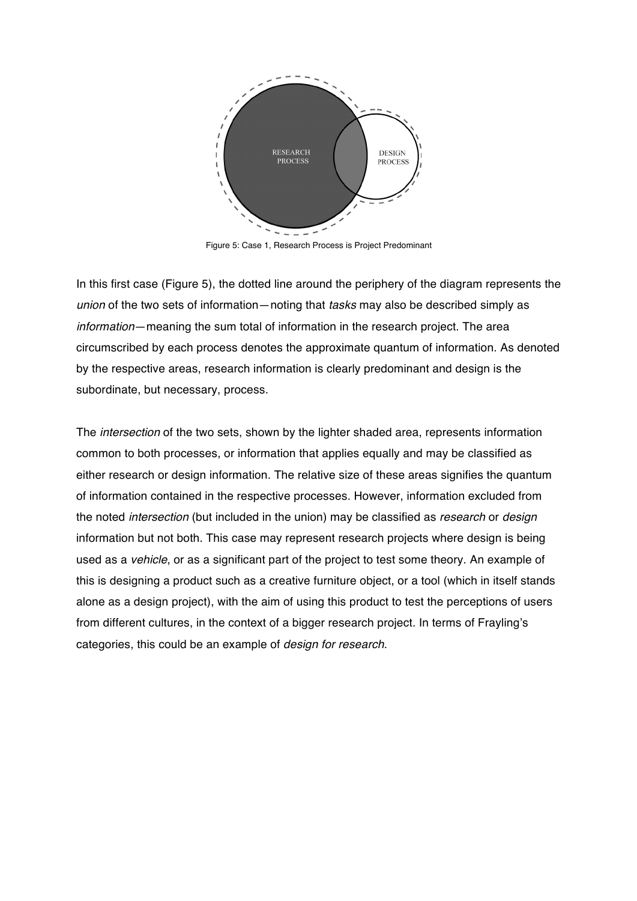

Figure 5: Case 1, Research Process is Project Predominant

In this first case (Figure 5), the dotted line around the periphery of the diagram represents the *union* of the two sets of information—noting that *tasks* may also be described simply as *information*—meaning the sum total of information in the research project. The area circumscribed by each process denotes the approximate quantum of information. As denoted by the respective areas, research information is clearly predominant and design is the subordinate, but necessary, process.

The *intersection* of the two sets, shown by the lighter shaded area, represents information common to both processes, or information that applies equally and may be classified as either research or design information. The relative size of these areas signifies the quantum of information contained in the respective processes. However, information excluded from the noted *intersection* (but included in the union) may be classified as *research* or *design* information but not both. This case may represent research projects where design is being used as a *vehicle*, or as a significant part of the project to test some theory. An example of this is designing a product such as a creative furniture object, or a tool (which in itself stands alone as a design project), with the aim of using this product to test the perceptions of users from different cultures, in the context of a bigger research project. In terms of Frayling's categories, this could be an example of *design for research.*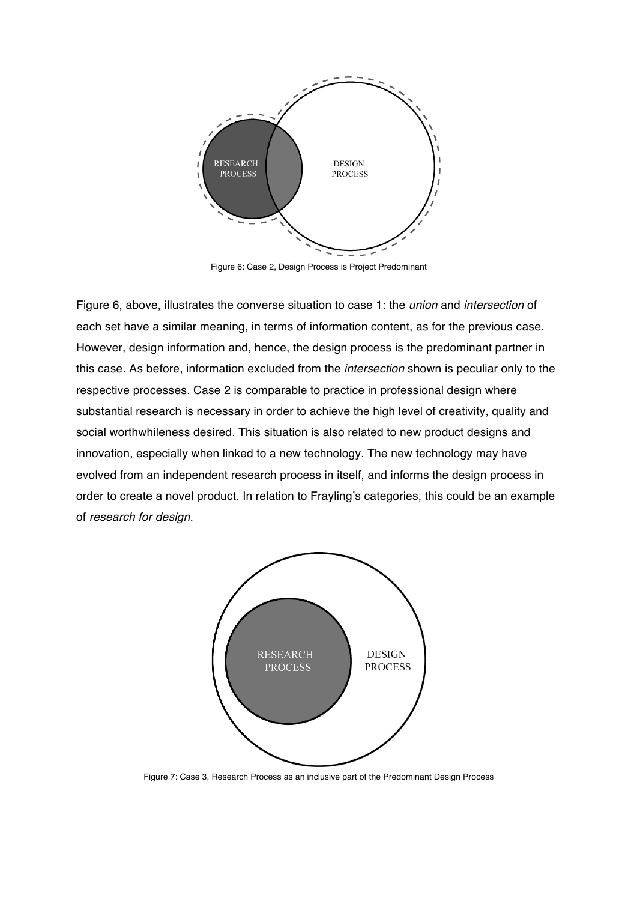

Figure 6: Case 2, Design Process is Project Predominant

Figure 6, above, illustrates the converse situation to case 1: the *union* and *intersection* of each set have a similar meaning, in terms of information content, as for the previous case. However, design information and, hence, the design process is the predominant partner in this case. As before, information excluded from the *intersection* shown is peculiar only to the respective processes. Case 2 is comparable to practice in professional design where substantial research is necessary in order to achieve the high level of creativity, quality and social worthwhileness desired. This situation is also related to new product designs and innovation, especially when linked to a new technology. The new technology may have evolved from an independent research process in itself, and informs the design process in order to create a novel product. In relation to Frayling's categories, this could be an example of *research for design.*



Figure 7: Case 3, Research Process as an inclusive part of the Predominant Design Process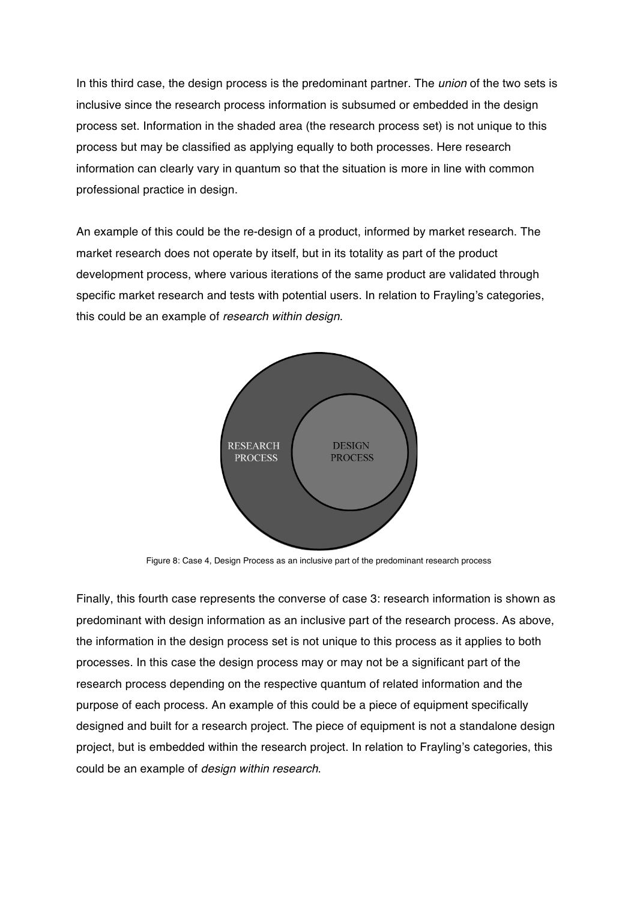In this third case, the design process is the predominant partner. The *union* of the two sets is inclusive since the research process information is subsumed or embedded in the design process set. Information in the shaded area (the research process set) is not unique to this process but may be classified as applying equally to both processes. Here research information can clearly vary in quantum so that the situation is more in line with common professional practice in design.

An example of this could be the re-design of a product, informed by market research. The market research does not operate by itself, but in its totality as part of the product development process, where various iterations of the same product are validated through specific market research and tests with potential users. In relation to Frayling's categories, this could be an example of *research within design*.



Figure 8: Case 4, Design Process as an inclusive part of the predominant research process

Finally, this fourth case represents the converse of case 3: research information is shown as predominant with design information as an inclusive part of the research process. As above, the information in the design process set is not unique to this process as it applies to both processes. In this case the design process may or may not be a significant part of the research process depending on the respective quantum of related information and the purpose of each process. An example of this could be a piece of equipment specifically designed and built for a research project. The piece of equipment is not a standalone design project, but is embedded within the research project. In relation to Frayling's categories, this could be an example of *design within research*.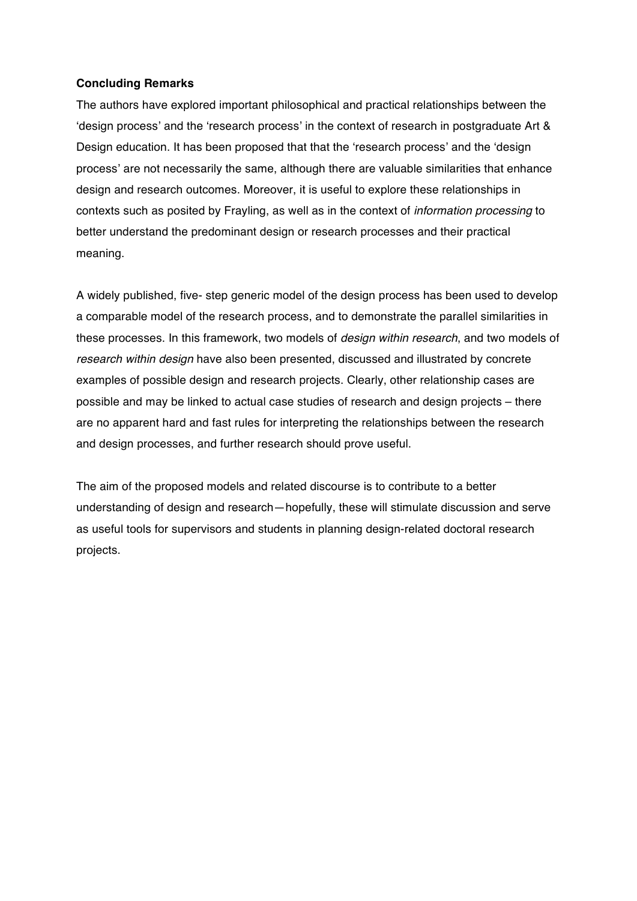## **Concluding Remarks**

The authors have explored important philosophical and practical relationships between the 'design process' and the 'research process' in the context of research in postgraduate Art & Design education. It has been proposed that that the 'research process' and the 'design process' are not necessarily the same, although there are valuable similarities that enhance design and research outcomes. Moreover, it is useful to explore these relationships in contexts such as posited by Frayling, as well as in the context of *information processing* to better understand the predominant design or research processes and their practical meaning.

A widely published, five- step generic model of the design process has been used to develop a comparable model of the research process, and to demonstrate the parallel similarities in these processes. In this framework, two models of *design within research*, and two models of *research within design* have also been presented, discussed and illustrated by concrete examples of possible design and research projects. Clearly, other relationship cases are possible and may be linked to actual case studies of research and design projects – there are no apparent hard and fast rules for interpreting the relationships between the research and design processes, and further research should prove useful.

The aim of the proposed models and related discourse is to contribute to a better understanding of design and research—hopefully, these will stimulate discussion and serve as useful tools for supervisors and students in planning design-related doctoral research projects.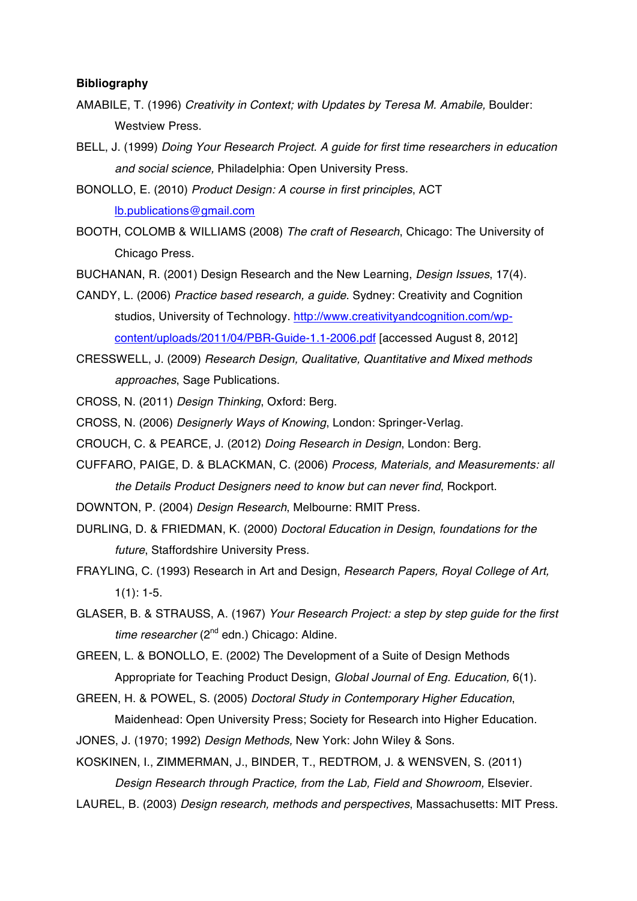### **Bibliography**

- AMABILE, T. (1996) *Creativity in Context; with Updates by Teresa M. Amabile,* Boulder: Westview Press.
- BELL, J. (1999) *Doing Your Research Project. A guide for first time researchers in education and social science,* Philadelphia: Open University Press.
- BONOLLO, E. (2010) *Product Design: A course in first principles*, ACT lb.publications@gmail.com
- BOOTH, COLOMB & WILLIAMS (2008) *The craft of Research*, Chicago: The University of Chicago Press.
- BUCHANAN, R. (2001) Design Research and the New Learning, *Design Issues*, 17(4).
- CANDY, L. (2006) *Practice based research, a guide*. Sydney: Creativity and Cognition studios, University of Technology. http://www.creativityandcognition.com/wpcontent/uploads/2011/04/PBR-Guide-1.1-2006.pdf [accessed August 8, 2012]
- CRESSWELL, J. (2009) *Research Design, Qualitative, Quantitative and Mixed methods approaches*, Sage Publications.
- CROSS, N. (2011) *Design Thinking*, Oxford: Berg.
- CROSS, N. (2006) *Designerly Ways of Knowing*, London: Springer-Verlag.
- CROUCH, C. & PEARCE, J. (2012) *Doing Research in Design*, London: Berg.
- CUFFARO, PAIGE, D. & BLACKMAN, C. (2006) *Process, Materials, and Measurements: all the Details Product Designers need to know but can never find*, Rockport.
- DOWNTON, P. (2004) *Design Research*, Melbourne: RMIT Press.
- DURLING, D. & FRIEDMAN, K. (2000) *Doctoral Education in Design*, *foundations for the future*, Staffordshire University Press.
- FRAYLING, C. (1993) Research in Art and Design, *Research Papers, Royal College of Art,*  $1(1)$ : 1-5.
- GLASER, B. & STRAUSS, A. (1967) *Your Research Project: a step by step guide for the first time researcher* (2<sup>nd</sup> edn.) Chicago: Aldine.

GREEN, L. & BONOLLO, E. (2002) The Development of a Suite of Design Methods Appropriate for Teaching Product Design, *Global Journal of Eng. Education,* 6(1).

GREEN, H. & POWEL, S. (2005) *Doctoral Study in Contemporary Higher Education*,

Maidenhead: Open University Press; Society for Research into Higher Education.

JONES, J. (1970; 1992) *Design Methods,* New York: John Wiley & Sons.

KOSKINEN, I., ZIMMERMAN, J., BINDER, T., REDTROM, J. & WENSVEN, S. (2011) *Design Research through Practice, from the Lab, Field and Showroom,* Elsevier.

LAUREL, B. (2003) *Design research, methods and perspectives*, Massachusetts: MIT Press.